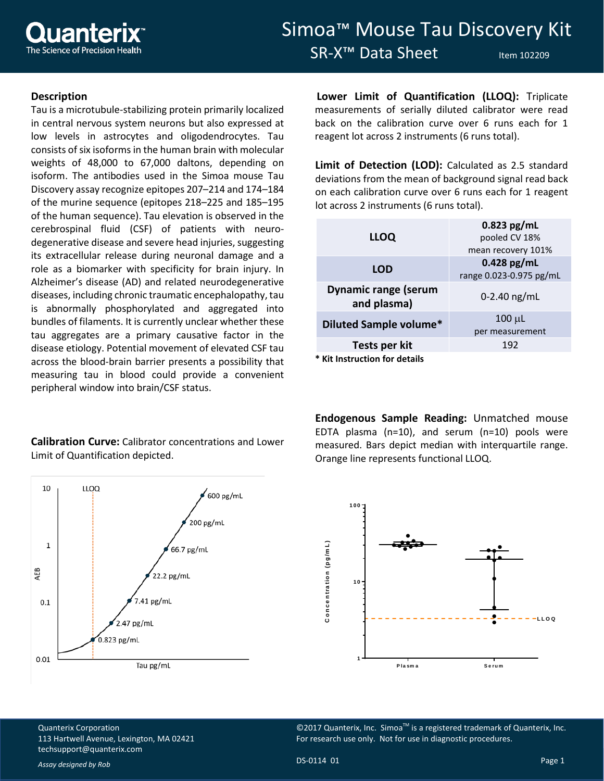

## Simoa™ Mouse Tau Discovery Kit SR-X<sup>™</sup> Data Sheet Item 102209

## **Description**

Tau is a microtubule-stabilizing protein primarily localized in central nervous system neurons but also expressed at low levels in astrocytes and oligodendrocytes. Tau consists of six isoforms in the human brain with molecular weights of 48,000 to 67,000 daltons, depending on isoform. The antibodies used in the Simoa mouse Tau Discovery assay recognize epitopes 207–214 and 174–184 of the murine sequence (epitopes 218–225 and 185–195 of the human sequence). Tau elevation is observed in the cerebrospinal fluid (CSF) of patients with neurodegenerative disease and severe head injuries, suggesting its extracellular release during neuronal damage and a role as a biomarker with specificity for brain injury. In Alzheimer's disease (AD) and related neurodegenerative diseases, including chronic traumatic encephalopathy, tau is abnormally phosphorylated and aggregated into bundles of filaments. It is currently unclear whether these tau aggregates are a primary causative factor in the disease etiology. Potential movement of elevated CSF tau across the blood-brain barrier presents a possibility that measuring tau in blood could provide a convenient peripheral window into brain/CSF status.

## **Calibration Curve:** Calibrator concentrations and Lower Limit of Quantification depicted.



**Lower Limit of Quantification (LLOQ):** Triplicate measurements of serially diluted calibrator were read back on the calibration curve over 6 runs each for 1 reagent lot across 2 instruments (6 runs total).

**Limit of Detection (LOD):** Calculated as 2.5 standard deviations from the mean of background signal read back on each calibration curve over 6 runs each for 1 reagent lot across 2 instruments (6 runs total).

| <b>LLOQ</b>                                | $0.823$ pg/mL<br>pooled CV 18%<br>mean recovery 101% |
|--------------------------------------------|------------------------------------------------------|
| <b>LOD</b>                                 | $0.428$ pg/mL<br>range 0.023-0.975 pg/mL             |
| <b>Dynamic range (serum</b><br>and plasma) | $0-2.40$ ng/mL                                       |
| <b>Diluted Sample volume*</b>              | $100 \mu L$<br>per measurement                       |
| Tests per kit                              | 192                                                  |
| * Kit Instruction for details              |                                                      |

**Endogenous Sample Reading:** Unmatched mouse EDTA plasma (n=10), and serum (n=10) pools were measured. Bars depict median with interquartile range. Orange line represents functional LLOQ.



©2017 Quanterix, Inc. Simoa<sup>™</sup> is a registered trademark of Quanterix, Inc. For research use only. Not for use in diagnostic procedures.

Quanterix Corporation 113 Hartwell Avenue, Lexington, MA 02421 [techsupport@quanterix.com](mailto:techsupport@quanterix.com)